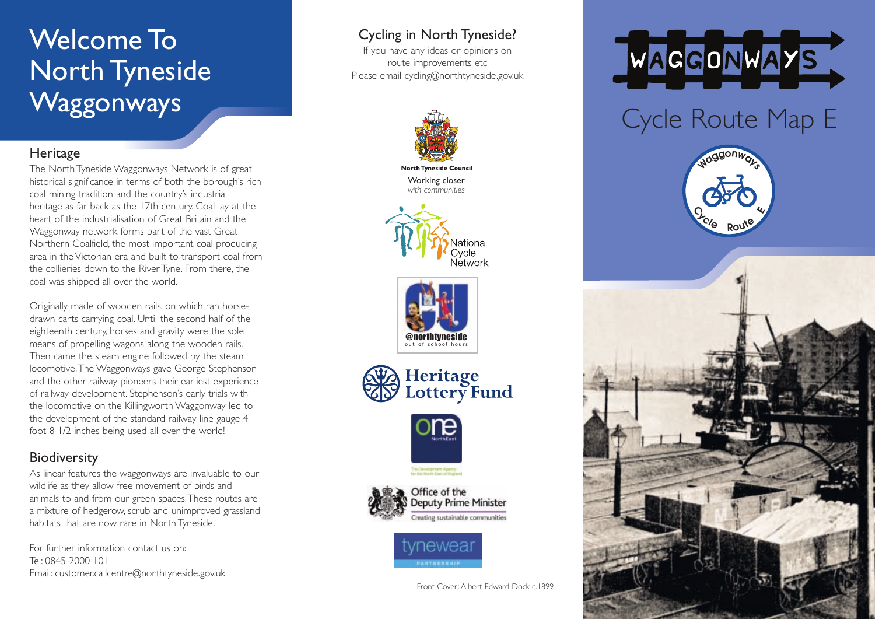## Welcome To North Tyneside **Waggonways**

#### **Heritage**

The North Tyneside Waggonways Network is of great historical significance in terms of both the borough's rich coal mining tradition and the country's industrial heritage as far back as the 17th century. Coal lay at the heart of the industrialisation of Great Britain and the Waggonway network forms part of the vast Great Northern Coalfield, the most important coal producing area in the Victorian era and built to transport coal from the collieries down to the River Tyne. From there, the coal was shipped all over the world.

Originally made of wooden rails, on which ran horsedrawn carts carrying coal. Until the second half of the eighteenth century, horses and gravity were the sole means of propelling wagons along the wooden rails. Then came the steam engine followed by the steam locomotive.The Waggonways gave George Stephenson and the other railway pioneers their earliest experience of railway development. Stephenson's early trials with the locomotive on the Killingworth Waggonway led to the development of the standard railway line gauge 4 foot 8 1/2 inches being used all over the world!

### **Biodiversity**

As linear features the waggonways are invaluable to our wildlife as they allow free movement of birds and animals to and from our green spaces.These routes are a mixture of hedgerow, scrub and unimproved grassland habitats that are now rare in North Tyneside.

For further information contact us on: Tel: 0845 2000 101 Email: customer.callcentre@northtyneside.gov.uk

### Cycling in North Tyneside?

If you have any ideas or opinions on route improvements etc Please email cycling@northtyneside.gov.uk



**North Tyneside Council** Working closer *with communities*











reating sustainable communities



Front Cover: Albert Edward Dock c.1899



# Cycle Route Map E